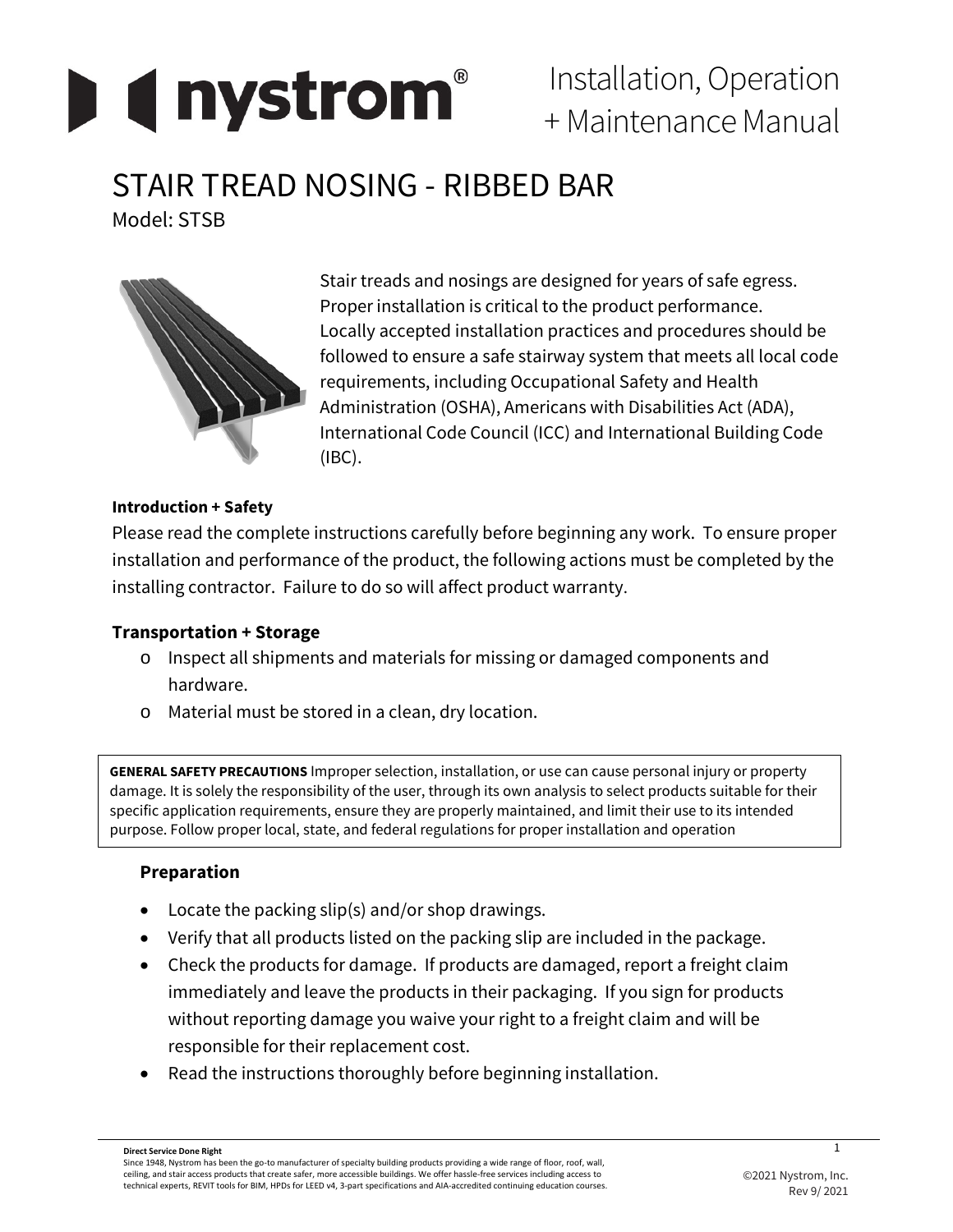

Installation, Operation + Maintenance Manual

# STAIR TREAD NOSING - RIBBED BAR

Model: STSB



Stair treads and nosings are designed for years of safe egress. Proper installation is critical to the product performance. Locally accepted installation practices and procedures should be followed to ensure a safe stairway system that meets all local code requirements, including Occupational Safety and Health Administration (OSHA), Americans with Disabilities Act (ADA), International Code Council (ICC) and International Building Code (IBC).

## **Introduction + Safety**

Please read the complete instructions carefully before beginning any work. To ensure proper installation and performance of the product, the following actions must be completed by the installing contractor. Failure to do so will affect product warranty.

# **Transportation + Storage**

- o Inspect all shipments and materials for missing or damaged components and hardware.
- o Material must be stored in a clean, dry location.

**GENERAL SAFETY PRECAUTIONS** Improper selection, installation, or use can cause personal injury or property damage. It is solely the responsibility of the user, through its own analysis to select products suitable for their specific application requirements, ensure they are properly maintained, and limit their use to its intended purpose. Follow proper local, state, and federal regulations for proper installation and operation

# **Preparation**

- Locate the packing slip(s) and/or shop drawings.
- Verify that all products listed on the packing slip are included in the package.
- Check the products for damage. If products are damaged, report a freight claim immediately and leave the products in their packaging. If you sign for products without reporting damage you waive your right to a freight claim and will be responsible for their replacement cost.
- Read the instructions thoroughly before beginning installation.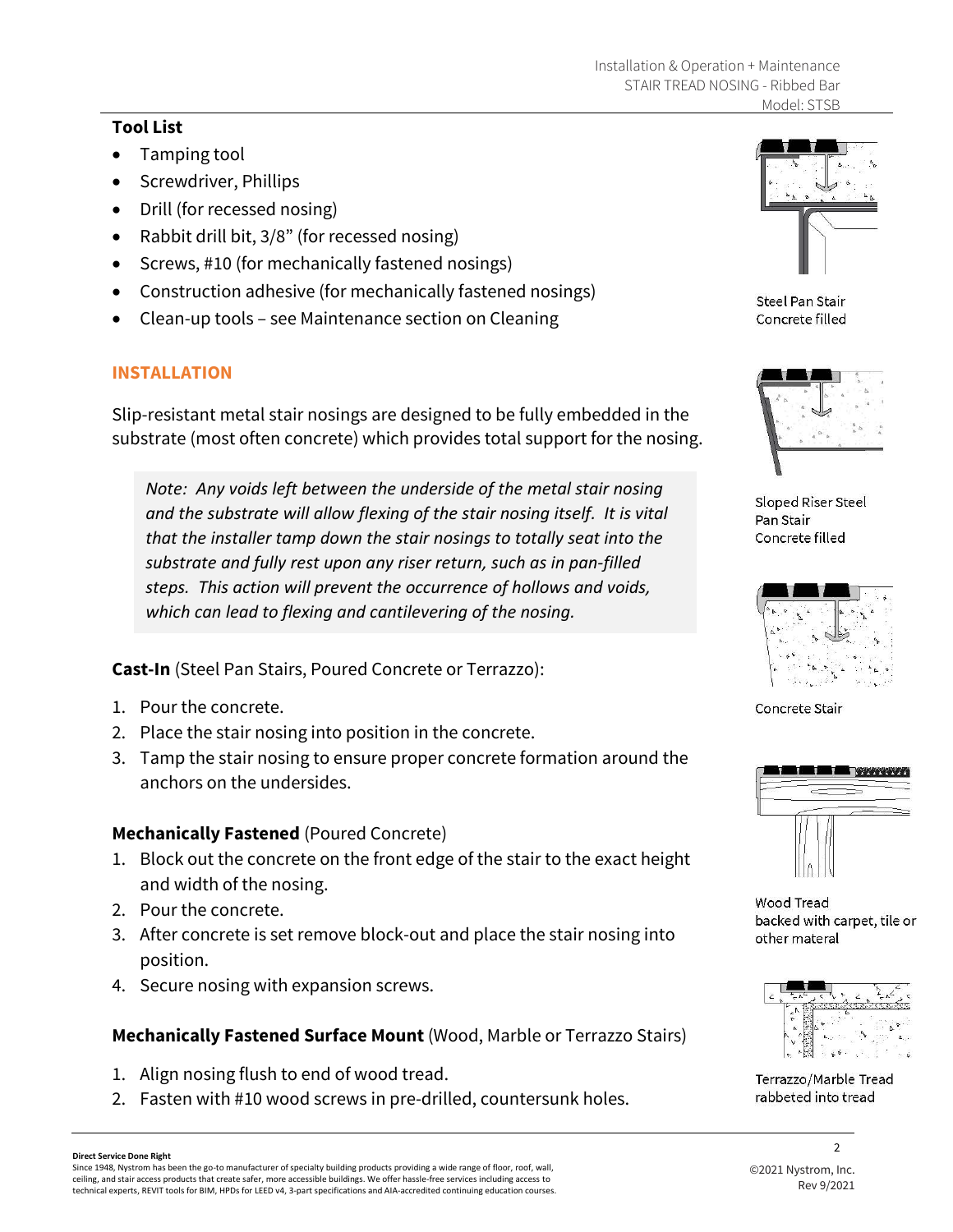#### **Tool List**

- Tamping tool
- Screwdriver, Phillips
- Drill (for recessed nosing)
- Rabbit drill bit, 3/8" (for recessed nosing)
- Screws, #10 (for mechanically fastened nosings)
- Construction adhesive (for mechanically fastened nosings)
- Clean-up tools see Maintenance section on Cleaning

#### **INSTALLATION**

Slip-resistant metal stair nosings are designed to be fully embedded in the substrate (most often concrete) which provides total support for the nosing.

*Note: Any voids left between the underside of the metal stair nosing and the substrate will allow flexing of the stair nosing itself. It is vital that the installer tamp down the stair nosings to totally seat into the substrate and fully rest upon any riser return, such as in pan-filled steps. This action will prevent the occurrence of hollows and voids, which can lead to flexing and cantilevering of the nosing.*

**Cast-In** (Steel Pan Stairs, Poured Concrete or Terrazzo):

- 1. Pour the concrete.
- 2. Place the stair nosing into position in the concrete.
- 3. Tamp the stair nosing to ensure proper concrete formation around the anchors on the undersides.

#### **Mechanically Fastened** (Poured Concrete)

- 1. Block out the concrete on the front edge of the stair to the exact height and width of the nosing.
- 2. Pour the concrete.
- 3. After concrete is set remove block-out and place the stair nosing into position.
- 4. Secure nosing with expansion screws.

## **Mechanically Fastened Surface Mount** (Wood, Marble or Terrazzo Stairs)

- 1. Align nosing flush to end of wood tread.
- 2. Fasten with #10 wood screws in pre-drilled, countersunk holes.



**Steel Pan Stair** Concrete filled



Sloped Riser Steel Pan Stair Concrete filled



Concrete Stair



Wood Tread backed with carpet, tile or other materal



Terrazzo/Marble Tread rabbeted into tread

 $\mathcal{L}$ 

Since 1948, Nystrom has been the go-to manufacturer of specialty building products providing a wide range of floor, roof, wall, ceiling, and stair access products that create safer, more accessible buildings. We offer hassle-free services including access to technical experts, REVIT tools for BIM, HPDs for LEED v4, 3-part specifications and AIA-accredited continuing education courses.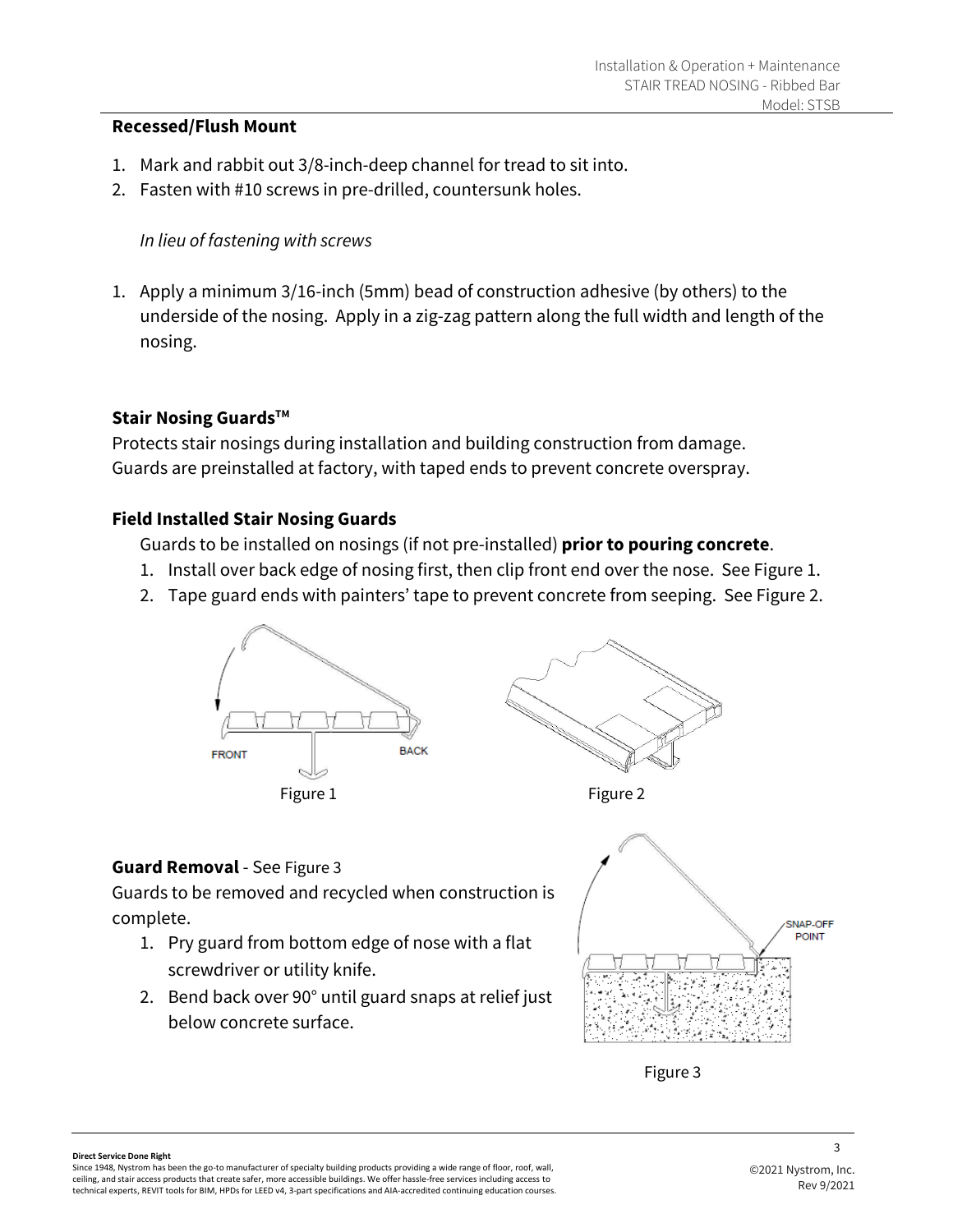#### **Recessed/Flush Mount**

- 1. Mark and rabbit out 3/8-inch-deep channel for tread to sit into.
- 2. Fasten with #10 screws in pre-drilled, countersunk holes.

#### *In lieu of fastening with screws*

1. Apply a minimum 3/16-inch (5mm) bead of construction adhesive (by others) to the underside of the nosing. Apply in a zig-zag pattern along the full width and length of the nosing.

#### **Stair Nosing Guards™**

Protects stair nosings during installation and building construction from damage. Guards are preinstalled at factory, with taped ends to prevent concrete overspray.

#### **Field Installed Stair Nosing Guards**

Guards to be installed on nosings (if not pre-installed) **prior to pouring concrete**.

- 1. Install over back edge of nosing first, then clip front end over the nose. See Figure 1.
- 2. Tape guard ends with painters' tape to prevent concrete from seeping. See Figure 2.



#### **Guard Removal** - See Figure 3

Guards to be removed and recycled when construction is complete.

- 1. Pry guard from bottom edge of nose with a flat screwdriver or utility knife.
- 2. Bend back over 90° until guard snaps at relief just below concrete surface.





#### **Direct Service Done Right**

Since 1948, Nystrom has been the go-to manufacturer of specialty building products providing a wide range of floor, roof, wall, ceiling, and stair access products that create safer, more accessible buildings. We offer hassle-free services including access to technical experts, REVIT tools for BIM, HPDs for LEED v4, 3-part specifications and AIA-accredited continuing education courses.